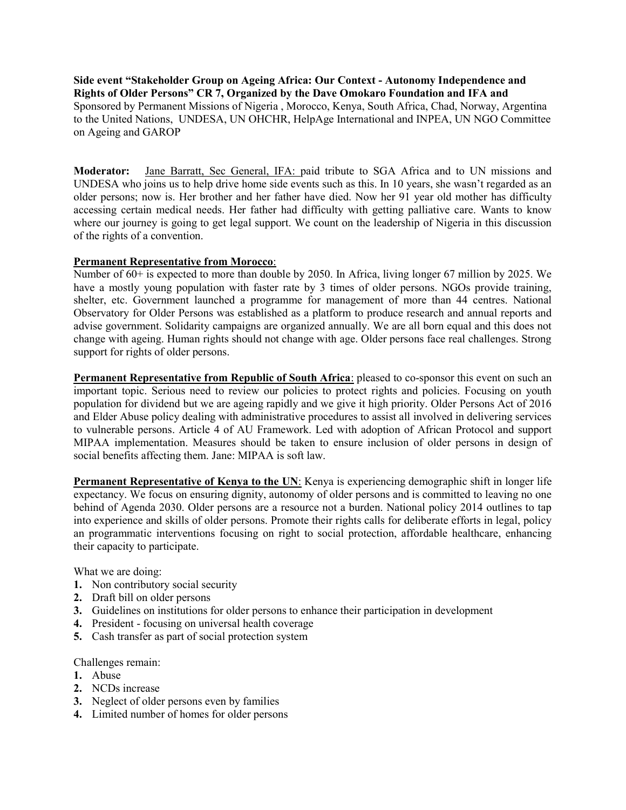Side event "Stakeholder Group on Ageing Africa: Our Context - Autonomy Independence and Rights of Older Persons" CR 7, Organized by the Dave Omokaro Foundation and IFA and Sponsored by Permanent Missions of Nigeria , Morocco, Kenya, South Africa, Chad, Norway, Argentina to the United Nations, UNDESA, UN OHCHR, HelpAge International and INPEA, UN NGO Committee on Ageing and GAROP

Moderator: Jane Barratt, Sec General, IFA: paid tribute to SGA Africa and to UN missions and UNDESA who joins us to help drive home side events such as this. In 10 years, she wasn't regarded as an older persons; now is. Her brother and her father have died. Now her 91 year old mother has difficulty accessing certain medical needs. Her father had difficulty with getting palliative care. Wants to know where our journey is going to get legal support. We count on the leadership of Nigeria in this discussion of the rights of a convention.

# Permanent Representative from Morocco:

Number of 60+ is expected to more than double by 2050. In Africa, living longer 67 million by 2025. We have a mostly young population with faster rate by 3 times of older persons. NGOs provide training, shelter, etc. Government launched a programme for management of more than 44 centres. National Observatory for Older Persons was established as a platform to produce research and annual reports and advise government. Solidarity campaigns are organized annually. We are all born equal and this does not change with ageing. Human rights should not change with age. Older persons face real challenges. Strong support for rights of older persons.

Permanent Representative from Republic of South Africa: pleased to co-sponsor this event on such an important topic. Serious need to review our policies to protect rights and policies. Focusing on youth population for dividend but we are ageing rapidly and we give it high priority. Older Persons Act of 2016 and Elder Abuse policy dealing with administrative procedures to assist all involved in delivering services to vulnerable persons. Article 4 of AU Framework. Led with adoption of African Protocol and support MIPAA implementation. Measures should be taken to ensure inclusion of older persons in design of social benefits affecting them. Jane: MIPAA is soft law.

Permanent Representative of Kenya to the UN: Kenya is experiencing demographic shift in longer life expectancy. We focus on ensuring dignity, autonomy of older persons and is committed to leaving no one behind of Agenda 2030. Older persons are a resource not a burden. National policy 2014 outlines to tap into experience and skills of older persons. Promote their rights calls for deliberate efforts in legal, policy an programmatic interventions focusing on right to social protection, affordable healthcare, enhancing their capacity to participate.

What we are doing:

- 1. Non contributory social security
- 2. Draft bill on older persons
- 3. Guidelines on institutions for older persons to enhance their participation in development
- 4. President focusing on universal health coverage
- 5. Cash transfer as part of social protection system

Challenges remain:

- 1. Abuse
- 2. NCDs increase
- 3. Neglect of older persons even by families
- 4. Limited number of homes for older persons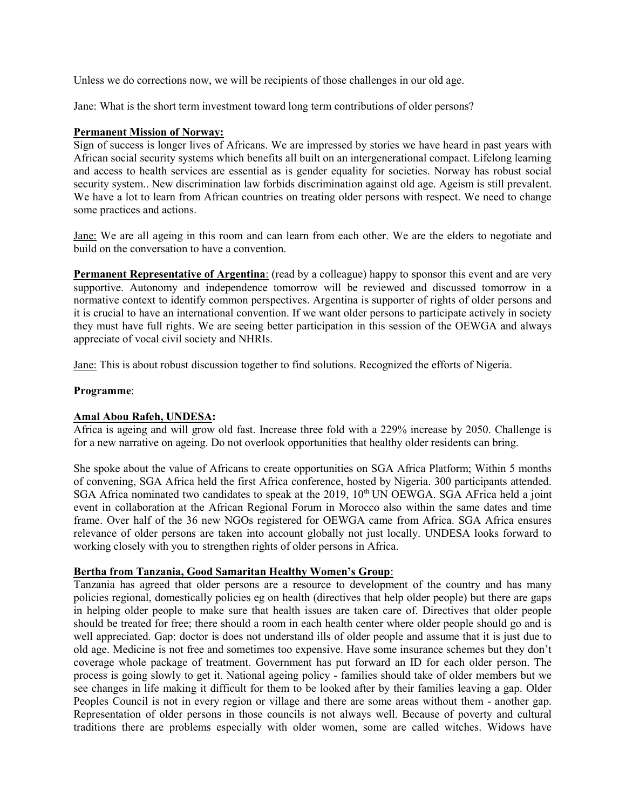Unless we do corrections now, we will be recipients of those challenges in our old age.

Jane: What is the short term investment toward long term contributions of older persons?

### Permanent Mission of Norway:

Sign of success is longer lives of Africans. We are impressed by stories we have heard in past years with African social security systems which benefits all built on an intergenerational compact. Lifelong learning and access to health services are essential as is gender equality for societies. Norway has robust social security system.. New discrimination law forbids discrimination against old age. Ageism is still prevalent. We have a lot to learn from African countries on treating older persons with respect. We need to change some practices and actions.

Jane: We are all ageing in this room and can learn from each other. We are the elders to negotiate and build on the conversation to have a convention.

Permanent Representative of Argentina: (read by a colleague) happy to sponsor this event and are very supportive. Autonomy and independence tomorrow will be reviewed and discussed tomorrow in a normative context to identify common perspectives. Argentina is supporter of rights of older persons and it is crucial to have an international convention. If we want older persons to participate actively in society they must have full rights. We are seeing better participation in this session of the OEWGA and always appreciate of vocal civil society and NHRIs.

Jane: This is about robust discussion together to find solutions. Recognized the efforts of Nigeria.

### Programme:

## Amal Abou Rafeh, UNDESA:

Africa is ageing and will grow old fast. Increase three fold with a 229% increase by 2050. Challenge is for a new narrative on ageing. Do not overlook opportunities that healthy older residents can bring.

She spoke about the value of Africans to create opportunities on SGA Africa Platform; Within 5 months of convening, SGA Africa held the first Africa conference, hosted by Nigeria. 300 participants attended. SGA Africa nominated two candidates to speak at the 2019, 10<sup>th</sup> UN OEWGA. SGA AFrica held a joint event in collaboration at the African Regional Forum in Morocco also within the same dates and time frame. Over half of the 36 new NGOs registered for OEWGA came from Africa. SGA Africa ensures relevance of older persons are taken into account globally not just locally. UNDESA looks forward to working closely with you to strengthen rights of older persons in Africa.

#### Bertha from Tanzania, Good Samaritan Healthy Women's Group:

Tanzania has agreed that older persons are a resource to development of the country and has many policies regional, domestically policies eg on health (directives that help older people) but there are gaps in helping older people to make sure that health issues are taken care of. Directives that older people should be treated for free; there should a room in each health center where older people should go and is well appreciated. Gap: doctor is does not understand ills of older people and assume that it is just due to old age. Medicine is not free and sometimes too expensive. Have some insurance schemes but they don't coverage whole package of treatment. Government has put forward an ID for each older person. The process is going slowly to get it. National ageing policy - families should take of older members but we see changes in life making it difficult for them to be looked after by their families leaving a gap. Older Peoples Council is not in every region or village and there are some areas without them - another gap. Representation of older persons in those councils is not always well. Because of poverty and cultural traditions there are problems especially with older women, some are called witches. Widows have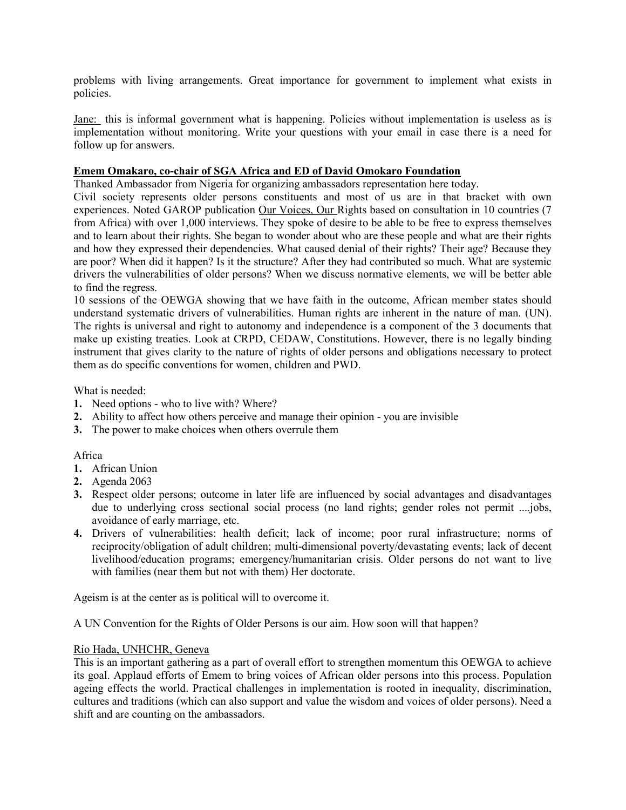problems with living arrangements. Great importance for government to implement what exists in policies.

Jane: this is informal government what is happening. Policies without implementation is useless as is implementation without monitoring. Write your questions with your email in case there is a need for follow up for answers.

## Emem Omakaro, co-chair of SGA Africa and ED of David Omokaro Foundation

Thanked Ambassador from Nigeria for organizing ambassadors representation here today.

Civil society represents older persons constituents and most of us are in that bracket with own experiences. Noted GAROP publication Our Voices, Our Rights based on consultation in 10 countries (7 from Africa) with over 1,000 interviews. They spoke of desire to be able to be free to express themselves and to learn about their rights. She began to wonder about who are these people and what are their rights and how they expressed their dependencies. What caused denial of their rights? Their age? Because they are poor? When did it happen? Is it the structure? After they had contributed so much. What are systemic drivers the vulnerabilities of older persons? When we discuss normative elements, we will be better able to find the regress.

10 sessions of the OEWGA showing that we have faith in the outcome, African member states should understand systematic drivers of vulnerabilities. Human rights are inherent in the nature of man. (UN). The rights is universal and right to autonomy and independence is a component of the 3 documents that make up existing treaties. Look at CRPD, CEDAW, Constitutions. However, there is no legally binding instrument that gives clarity to the nature of rights of older persons and obligations necessary to protect them as do specific conventions for women, children and PWD.

What is needed:

- 1. Need options who to live with? Where?
- 2. Ability to affect how others perceive and manage their opinion you are invisible
- 3. The power to make choices when others overrule them

## Africa

- 1. African Union
- 2. Agenda 2063
- 3. Respect older persons; outcome in later life are influenced by social advantages and disadvantages due to underlying cross sectional social process (no land rights; gender roles not permit ....jobs, avoidance of early marriage, etc.
- 4. Drivers of vulnerabilities: health deficit; lack of income; poor rural infrastructure; norms of reciprocity/obligation of adult children; multi-dimensional poverty/devastating events; lack of decent livelihood/education programs; emergency/humanitarian crisis. Older persons do not want to live with families (near them but not with them) Her doctorate.

Ageism is at the center as is political will to overcome it.

A UN Convention for the Rights of Older Persons is our aim. How soon will that happen?

## Rio Hada, UNHCHR, Geneva

This is an important gathering as a part of overall effort to strengthen momentum this OEWGA to achieve its goal. Applaud efforts of Emem to bring voices of African older persons into this process. Population ageing effects the world. Practical challenges in implementation is rooted in inequality, discrimination, cultures and traditions (which can also support and value the wisdom and voices of older persons). Need a shift and are counting on the ambassadors.